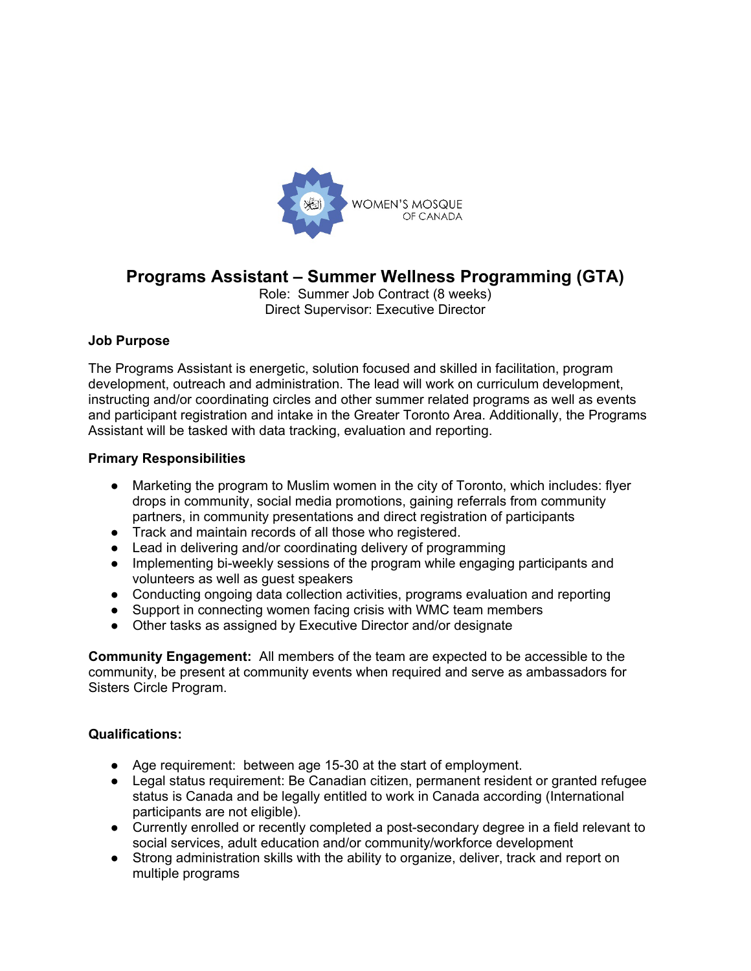

# **Programs Assistant – Summer Wellness Programming (GTA)**

Role: Summer Job Contract (8 weeks) Direct Supervisor: Executive Director

### **Job Purpose**

The Programs Assistant is energetic, solution focused and skilled in facilitation, program development, outreach and administration. The lead will work on curriculum development, instructing and/or coordinating circles and other summer related programs as well as events and participant registration and intake in the Greater Toronto Area. Additionally, the Programs Assistant will be tasked with data tracking, evaluation and reporting.

### **Primary Responsibilities**

- Marketing the program to Muslim women in the city of Toronto, which includes: flyer drops in community, social media promotions, gaining referrals from community partners, in community presentations and direct registration of participants
- Track and maintain records of all those who registered.
- Lead in delivering and/or coordinating delivery of programming
- Implementing bi-weekly sessions of the program while engaging participants and volunteers as well as guest speakers
- Conducting ongoing data collection activities, programs evaluation and reporting
- Support in connecting women facing crisis with WMC team members
- Other tasks as assigned by Executive Director and/or designate

**Community Engagement:** All members of the team are expected to be accessible to the community, be present at community events when required and serve as ambassadors for Sisters Circle Program.

#### **Qualifications:**

- Age requirement: between age 15-30 at the start of employment.
- Legal status requirement: Be Canadian citizen, permanent resident or granted refugee status is Canada and be legally entitled to work in Canada according (International participants are not eligible).
- Currently enrolled or recently completed a post-secondary degree in a field relevant to social services, adult education and/or community/workforce development
- Strong administration skills with the ability to organize, deliver, track and report on multiple programs